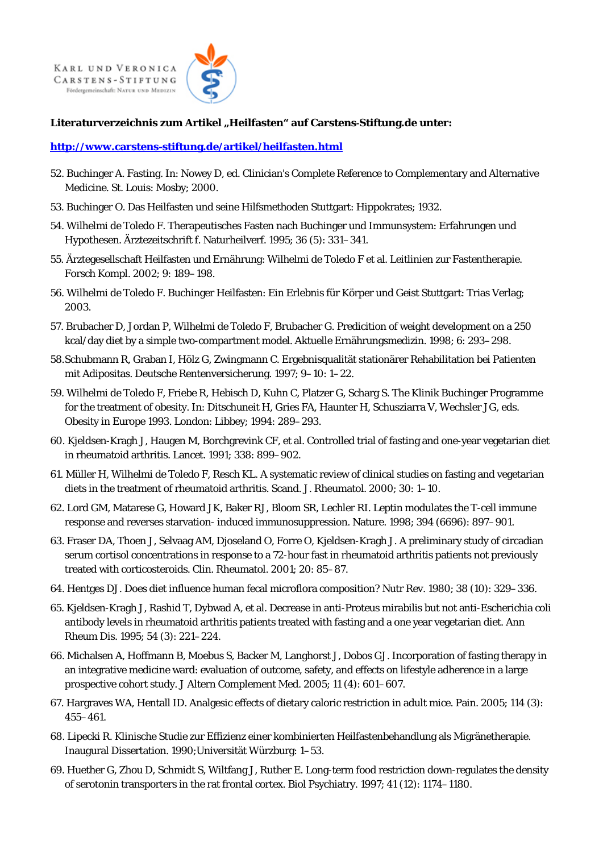**KARL UND VERONICA** CARSTENS-STIFTUNG Fördergemeinschaft: NATUR UND MEDIZIN



## Literaturverzeichnis zum Artikel "Heilfasten" auf Carstens-Stiftung.de unter:

## **http://www.carstens-stiftung.de/artikel/heilfasten.html**

- 52. Buchinger A. Fasting. In: Nowey D, ed. Clinician's Complete Reference to Complementary and Alternative Medicine. St. Louis: Mosby; 2000.
- 53. Buchinger O. Das Heilfasten und seine Hilfsmethoden Stuttgart: Hippokrates; 1932.
- 54. Wilhelmi de Toledo F. Therapeutisches Fasten nach Buchinger und Immunsystem: Erfahrungen und Hypothesen. Ärztezeitschrift f. Naturheilverf. 1995; 36 (5): 331–341.
- 55. Ärztegesellschaft Heilfasten und Ernährung: Wilhelmi de Toledo F et al. Leitlinien zur Fastentherapie. Forsch Kompl. 2002; 9: 189–198.
- 56. Wilhelmi de Toledo F. Buchinger Heilfasten: Ein Erlebnis für Körper und Geist Stuttgart: Trias Verlag; 2003.
- 57. Brubacher D, Jordan P, Wilhelmi de Toledo F, Brubacher G. Predicition of weight development on a 250 kcal/day diet by a simple two-compartment model. Aktuelle Ernährungsmedizin. 1998; 6: 293–298.
- 58. Schubmann R, Graban I, Hölz G, Zwingmann C. Ergebnisqualität stationärer Rehabilitation bei Patienten mit Adipositas. Deutsche Rentenversicherung. 1997; 9–10: 1–22.
- 59. Wilhelmi de Toledo F, Friebe R, Hebisch D, Kuhn C, Platzer G, Scharg S. The Klinik Buchinger Programme for the treatment of obesity. In: Ditschuneit H, Gries FA, Haunter H, Schusziarra V, Wechsler JG, eds. Obesity in Europe 1993. London: Libbey; 1994: 289–293.
- 60. Kjeldsen-Kragh J, Haugen M, Borchgrevink CF, et al. Controlled trial of fasting and one-year vegetarian diet in rheumatoid arthritis. Lancet. 1991; 338: 899–902.
- 61. Müller H, Wilhelmi de Toledo F, Resch KL. A systematic review of clinical studies on fasting and vegetarian diets in the treatment of rheumatoid arthritis. Scand. J. Rheumatol. 2000; 30: 1–10.
- 62. Lord GM, Matarese G, Howard JK, Baker RJ, Bloom SR, Lechler RI. Leptin modulates the T-cell immune response and reverses starvation- induced immunosuppression. Nature. 1998; 394 (6696): 897–901.
- 63. Fraser DA, Thoen J, Selvaag AM, Djoseland O, Forre O, Kjeldsen-Kragh J. A preliminary study of circadian serum cortisol concentrations in response to a 72-hour fast in rheumatoid arthritis patients not previously treated with corticosteroids. Clin. Rheumatol. 2001; 20: 85–87.
- 64. Hentges DJ. Does diet influence human fecal microflora composition? Nutr Rev. 1980; 38 (10): 329–336.
- 65. Kjeldsen-Kragh J, Rashid T, Dybwad A, et al. Decrease in anti-Proteus mirabilis but not anti-Escherichia coli antibody levels in rheumatoid arthritis patients treated with fasting and a one year vegetarian diet. Ann Rheum Dis. 1995; 54 (3): 221–224.
- 66. Michalsen A, Hoffmann B, Moebus S, Backer M, Langhorst J, Dobos GJ. Incorporation of fasting therapy in an integrative medicine ward: evaluation of outcome, safety, and effects on lifestyle adherence in a large prospective cohort study. J Altern Complement Med. 2005; 11 (4): 601–607.
- 67. Hargraves WA, Hentall ID. Analgesic effects of dietary caloric restriction in adult mice. Pain. 2005; 114 (3): 455–461.
- 68. Lipecki R. Klinische Studie zur Effizienz einer kombinierten Heilfastenbehandlung als Migränetherapie. Inaugural Dissertation. 1990;Universität Würzburg: 1–53.
- 69. Huether G, Zhou D, Schmidt S, Wiltfang J, Ruther E. Long-term food restriction down-regulates the density of serotonin transporters in the rat frontal cortex. Biol Psychiatry. 1997; 41 (12): 1174–1180.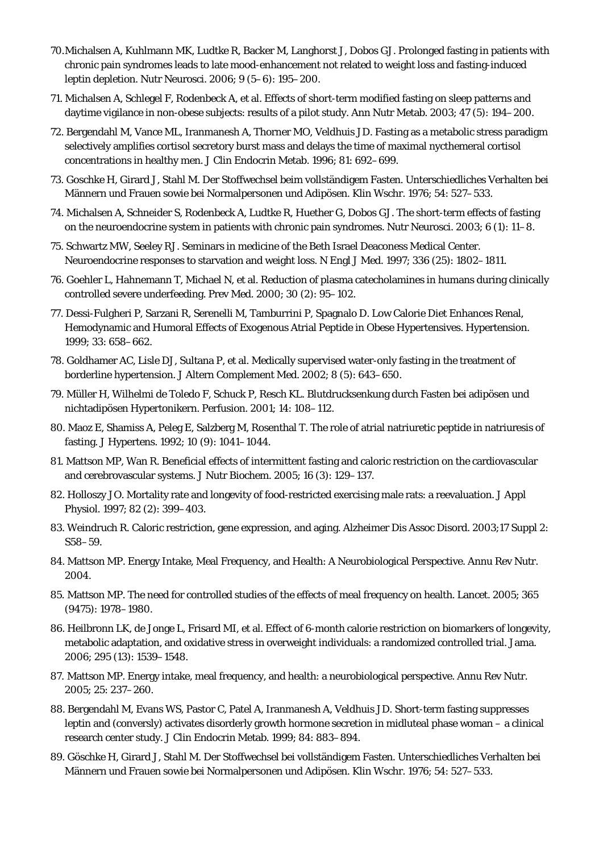- 70. Michalsen A, Kuhlmann MK, Ludtke R, Backer M, Langhorst J, Dobos GJ. Prolonged fasting in patients with chronic pain syndromes leads to late mood-enhancement not related to weight loss and fasting-induced leptin depletion. Nutr Neurosci. 2006; 9 (5–6): 195–200.
- 71. Michalsen A, Schlegel F, Rodenbeck A, et al. Effects of short-term modified fasting on sleep patterns and daytime vigilance in non-obese subjects: results of a pilot study. Ann Nutr Metab. 2003; 47 (5): 194–200.
- 72. Bergendahl M, Vance ML, Iranmanesh A, Thorner MO, Veldhuis JD. Fasting as a metabolic stress paradigm selectively amplifies cortisol secretory burst mass and delays the time of maximal nycthemeral cortisol concentrations in healthy men. J Clin Endocrin Metab. 1996; 81: 692–699.
- 73. Goschke H, Girard J, Stahl M. Der Stoffwechsel beim vollständigem Fasten. Unterschiedliches Verhalten bei Männern und Frauen sowie bei Normalpersonen und Adipösen. Klin Wschr. 1976; 54: 527–533.
- 74. Michalsen A, Schneider S, Rodenbeck A, Ludtke R, Huether G, Dobos GJ. The short-term effects of fasting on the neuroendocrine system in patients with chronic pain syndromes. Nutr Neurosci. 2003; 6 (1): 11–8.
- 75. Schwartz MW, Seeley RJ. Seminars in medicine of the Beth Israel Deaconess Medical Center. Neuroendocrine responses to starvation and weight loss. N Engl J Med. 1997; 336 (25): 1802–1811.
- 76. Goehler L, Hahnemann T, Michael N, et al. Reduction of plasma catecholamines in humans during clinically controlled severe underfeeding. Prev Med. 2000; 30 (2): 95–102.
- 77. Dessi-Fulgheri P, Sarzani R, Serenelli M, Tamburrini P, Spagnalo D. Low Calorie Diet Enhances Renal, Hemodynamic and Humoral Effects of Exogenous Atrial Peptide in Obese Hypertensives. Hypertension. 1999; 33: 658–662.
- 78. Goldhamer AC, Lisle DJ, Sultana P, et al. Medically supervised water-only fasting in the treatment of borderline hypertension. J Altern Complement Med. 2002; 8 (5): 643–650.
- 79. Müller H, Wilhelmi de Toledo F, Schuck P, Resch KL. Blutdrucksenkung durch Fasten bei adipösen und nichtadipösen Hypertonikern. Perfusion. 2001; 14: 108–112.
- 80. Maoz E, Shamiss A, Peleg E, Salzberg M, Rosenthal T. The role of atrial natriuretic peptide in natriuresis of fasting. J Hypertens. 1992; 10 (9): 1041–1044.
- 81. Mattson MP, Wan R. Beneficial effects of intermittent fasting and caloric restriction on the cardiovascular and cerebrovascular systems. J Nutr Biochem. 2005; 16 (3): 129–137.
- 82. Holloszy JO. Mortality rate and longevity of food-restricted exercising male rats: a reevaluation. J Appl Physiol. 1997; 82 (2): 399–403.
- 83. Weindruch R. Caloric restriction, gene expression, and aging. Alzheimer Dis Assoc Disord. 2003;17 Suppl 2: S58–59.
- 84. Mattson MP. Energy Intake, Meal Frequency, and Health: A Neurobiological Perspective. Annu Rev Nutr. 2004.
- 85. Mattson MP. The need for controlled studies of the effects of meal frequency on health. Lancet. 2005; 365 (9475): 1978–1980.
- 86. Heilbronn LK, de Jonge L, Frisard MI, et al. Effect of 6-month calorie restriction on biomarkers of longevity, metabolic adaptation, and oxidative stress in overweight individuals: a randomized controlled trial. Jama. 2006; 295 (13): 1539–1548.
- 87. Mattson MP. Energy intake, meal frequency, and health: a neurobiological perspective. Annu Rev Nutr. 2005; 25: 237–260.
- 88. Bergendahl M, Evans WS, Pastor C, Patel A, Iranmanesh A, Veldhuis JD. Short-term fasting suppresses leptin and (conversly) activates disorderly growth hormone secretion in midluteal phase woman – a clinical research center study. J Clin Endocrin Metab. 1999; 84: 883–894.
- 89. Göschke H, Girard J, Stahl M. Der Stoffwechsel bei vollständigem Fasten. Unterschiedliches Verhalten bei Männern und Frauen sowie bei Normalpersonen und Adipösen. Klin Wschr. 1976; 54: 527–533.